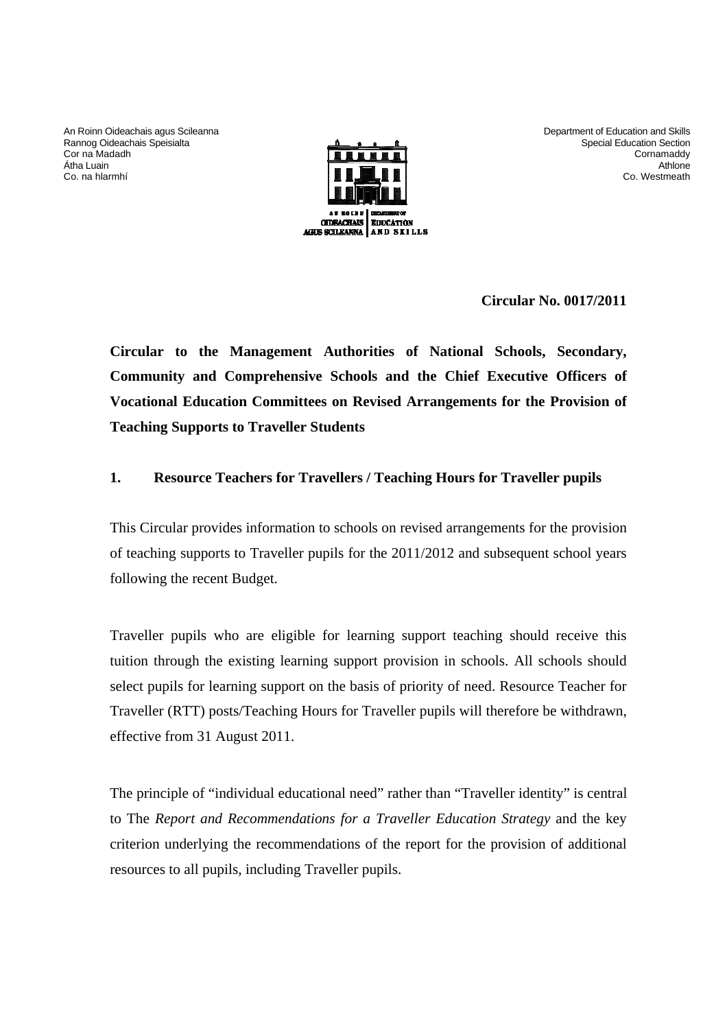An Roinn Oideachais agus Scileanna Rannog Oideachais Speisialta Cor na Madadh Átha Luain Co. na hlarmhí



Department of Education and Skills Special Education Section **Cornamaddy** Athlone Co. Westmeath

**Circular No. 0017/2011** 

**Circular to the Management Authorities of National Schools, Secondary, Community and Comprehensive Schools and the Chief Executive Officers of Vocational Education Committees on Revised Arrangements for the Provision of Teaching Supports to Traveller Students** 

### **1. Resource Teachers for Travellers / Teaching Hours for Traveller pupils**

This Circular provides information to schools on revised arrangements for the provision of teaching supports to Traveller pupils for the 2011/2012 and subsequent school years following the recent Budget.

Traveller pupils who are eligible for learning support teaching should receive this tuition through the existing learning support provision in schools. All schools should select pupils for learning support on the basis of priority of need. Resource Teacher for Traveller (RTT) posts/Teaching Hours for Traveller pupils will therefore be withdrawn, effective from 31 August 2011.

The principle of "individual educational need" rather than "Traveller identity" is central to The *Report and Recommendations for a Traveller Education Strategy* and the key criterion underlying the recommendations of the report for the provision of additional resources to all pupils, including Traveller pupils.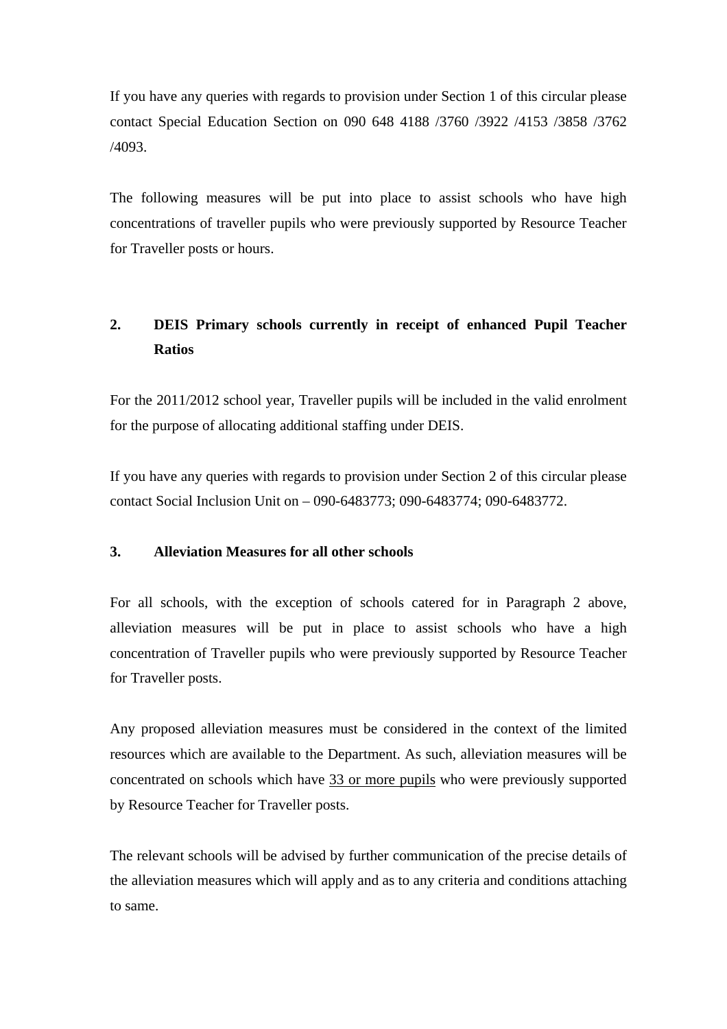If you have any queries with regards to provision under Section 1 of this circular please contact Special Education Section on 090 648 4188 /3760 /3922 /4153 /3858 /3762 /4093.

The following measures will be put into place to assist schools who have high concentrations of traveller pupils who were previously supported by Resource Teacher for Traveller posts or hours.

## **2. DEIS Primary schools currently in receipt of enhanced Pupil Teacher Ratios**

For the 2011/2012 school year, Traveller pupils will be included in the valid enrolment for the purpose of allocating additional staffing under DEIS.

If you have any queries with regards to provision under Section 2 of this circular please contact Social Inclusion Unit on – 090-6483773; 090-6483774; 090-6483772.

#### **3. Alleviation Measures for all other schools**

For all schools, with the exception of schools catered for in Paragraph 2 above, alleviation measures will be put in place to assist schools who have a high concentration of Traveller pupils who were previously supported by Resource Teacher for Traveller posts.

Any proposed alleviation measures must be considered in the context of the limited resources which are available to the Department. As such, alleviation measures will be concentrated on schools which have 33 or more pupils who were previously supported by Resource Teacher for Traveller posts.

The relevant schools will be advised by further communication of the precise details of the alleviation measures which will apply and as to any criteria and conditions attaching to same.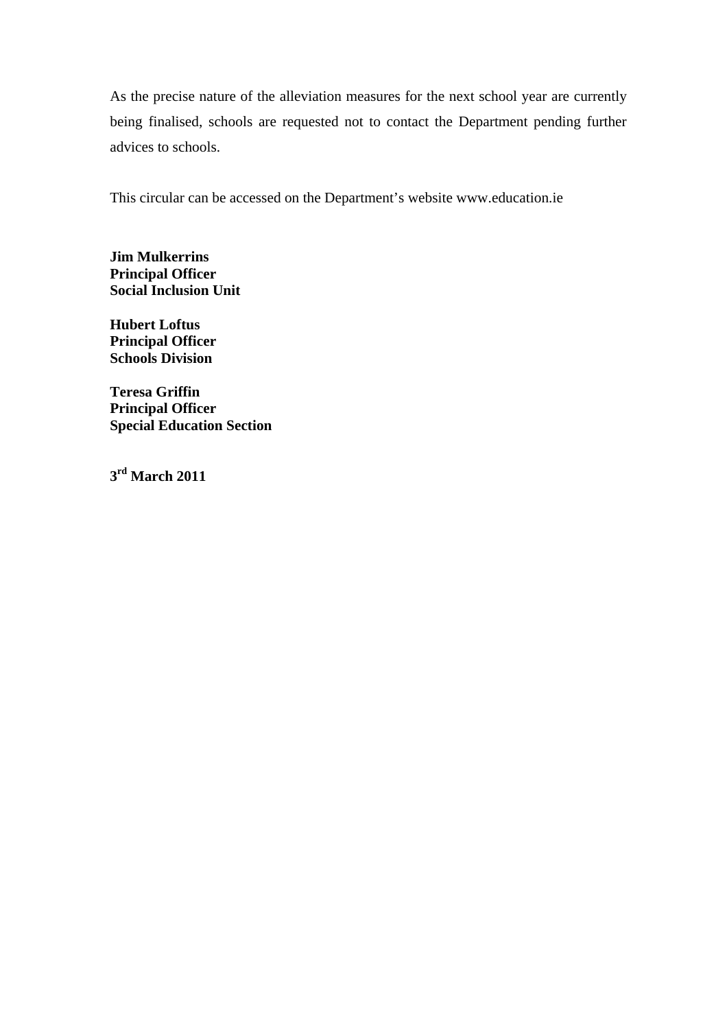As the precise nature of the alleviation measures for the next school year are currently being finalised, schools are requested not to contact the Department pending further advices to schools.

This circular can be accessed on the Department's website www.education.ie

**Jim Mulkerrins Principal Officer Social Inclusion Unit** 

**Hubert Loftus Principal Officer Schools Division** 

**Teresa Griffin Principal Officer Special Education Section** 

**3rd March 2011**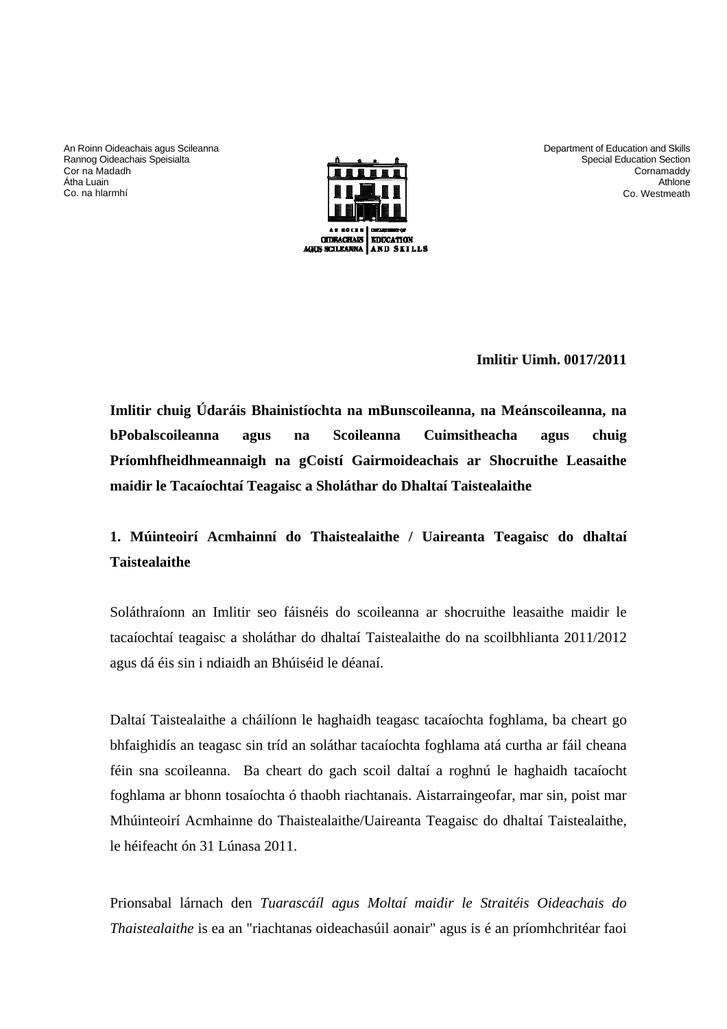An Roinn Oideachais agus Scileanna Rannog Oideachais Speisialta Cor na Madadh Átha Luain Co. na hlarmhí



Department of Education and Skills Special Education Section **Cornamaddy Athlone** Co. Westmeath

**Imlitir Uimh. 0017/2011** 

**Imlitir chuig Údaráis Bhainistíochta na mBunscoileanna, na Meánscoileanna, na bPobalscoileanna agus na Scoileanna Cuimsitheacha agus chuig Príomhfheidhmeannaigh na gCoistí Gairmoideachais ar Shocruithe Leasaithe maidir le Tacaíochtaí Teagaisc a Sholáthar do Dhaltaí Taistealaithe** 

## **1. Múinteoirí Acmhainní do Thaistealaithe / Uaireanta Teagaisc do dhaltaí Taistealaithe**

Soláthraíonn an Imlitir seo fáisnéis do scoileanna ar shocruithe leasaithe maidir le tacaíochtaí teagaisc a sholáthar do dhaltaí Taistealaithe do na scoilbhlianta 2011/2012 agus dá éis sin i ndiaidh an Bhúiséid le déanaí.

Daltaí Taistealaithe a cháilíonn le haghaidh teagasc tacaíochta foghlama, ba cheart go bhfaighidís an teagasc sin tríd an soláthar tacaíochta foghlama atá curtha ar fáil cheana féin sna scoileanna. Ba cheart do gach scoil daltaí a roghnú le haghaidh tacaíocht foghlama ar bhonn tosaíochta ó thaobh riachtanais. Aistarraingeofar, mar sin, poist mar Mhúinteoirí Acmhainne do Thaistealaithe/Uaireanta Teagaisc do dhaltaí Taistealaithe, le héifeacht ón 31 Lúnasa 2011.

Prionsabal lárnach den *Tuarascáíl agus Moltaí maidir le Straitéis Oideachais do Thaistealaithe* is ea an "riachtanas oideachasúil aonair" agus is é an príomhchritéar faoi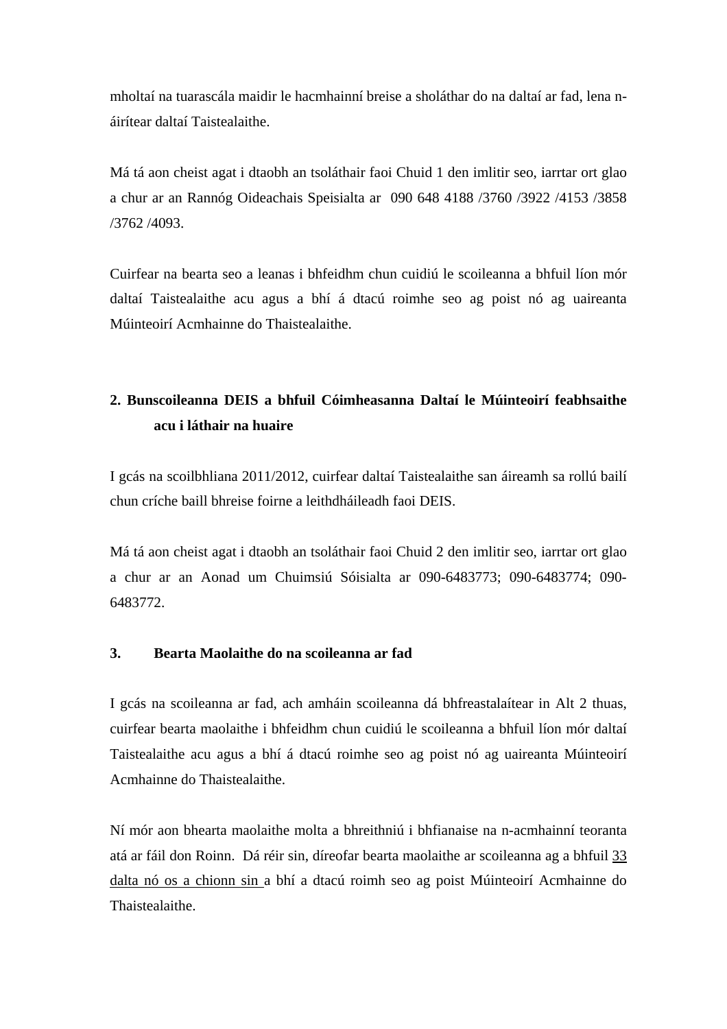mholtaí na tuarascála maidir le hacmhainní breise a sholáthar do na daltaí ar fad, lena náirítear daltaí Taistealaithe.

Má tá aon cheist agat i dtaobh an tsoláthair faoi Chuid 1 den imlitir seo, iarrtar ort glao a chur ar an Rannóg Oideachais Speisialta ar 090 648 4188 /3760 /3922 /4153 /3858 /3762 /4093.

Cuirfear na bearta seo a leanas i bhfeidhm chun cuidiú le scoileanna a bhfuil líon mór daltaí Taistealaithe acu agus a bhí á dtacú roimhe seo ag poist nó ag uaireanta Múinteoirí Acmhainne do Thaistealaithe.

# **2. Bunscoileanna DEIS a bhfuil Cóimheasanna Daltaí le Múinteoirí feabhsaithe acu i láthair na huaire**

I gcás na scoilbhliana 2011/2012, cuirfear daltaí Taistealaithe san áireamh sa rollú bailí chun críche baill bhreise foirne a leithdháileadh faoi DEIS.

Má tá aon cheist agat i dtaobh an tsoláthair faoi Chuid 2 den imlitir seo, iarrtar ort glao a chur ar an Aonad um Chuimsiú Sóisialta ar 090-6483773; 090-6483774; 090- 6483772.

#### **3. Bearta Maolaithe do na scoileanna ar fad**

I gcás na scoileanna ar fad, ach amháin scoileanna dá bhfreastalaítear in Alt 2 thuas, cuirfear bearta maolaithe i bhfeidhm chun cuidiú le scoileanna a bhfuil líon mór daltaí Taistealaithe acu agus a bhí á dtacú roimhe seo ag poist nó ag uaireanta Múinteoirí Acmhainne do Thaistealaithe.

Ní mór aon bhearta maolaithe molta a bhreithniú i bhfianaise na n-acmhainní teoranta atá ar fáil don Roinn. Dá réir sin, díreofar bearta maolaithe ar scoileanna ag a bhfuil 33 dalta nó os a chionn sin a bhí a dtacú roimh seo ag poist Múinteoirí Acmhainne do Thaistealaithe.